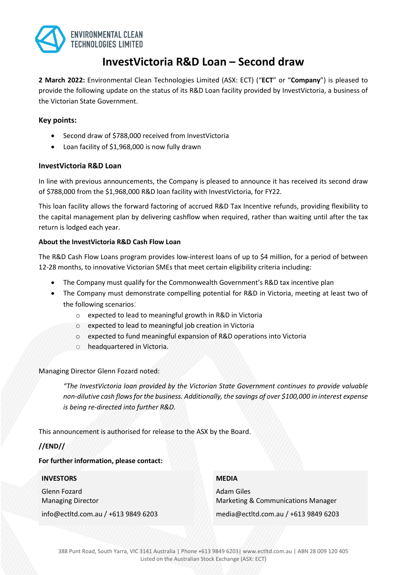

# **InvestVictoria R&D Loan – Second draw**

**2 March 2022:** Environmental Clean Technologies Limited (ASX: ECT) ("**ECT**" or "**Company**") is pleased to provide the following update on the status of its R&D Loan facility provided by InvestVictoria, a business of the Victorian State Government.

## **Key points:**

- Second draw of \$788,000 received from InvestVictoria
- Loan facility of \$1,968,000 is now fully drawn

## **InvestVictoria R&D Loan**

In line with previous announcements, the Company is pleased to announce it has received its second draw of \$788,000 from the \$1,968,000 R&D loan facility with InvestVictoria, for FY22.

This loan facility allows the forward factoring of accrued R&D Tax Incentive refunds, providing flexibility to the capital management plan by delivering cashflow when required, rather than waiting until after the tax return is lodged each year.

## **About the InvestVictoria R&D Cash Flow Loan**

The R&D Cash Flow Loans program provides low-interest loans of up to \$4 million, for a period of between 12-28 months, to innovative Victorian SMEs that meet certain eligibility criteria including:

- The Company must qualify for the Commonwealth Government's R&D tax incentive plan
- The Company must demonstrate compelling potential for R&D in Victoria, meeting at least two of the following scenarios:
	- o expected to lead to meaningful growth in R&D in Victoria
	- o expected to lead to meaningful job creation in Victoria
	- o expected to fund meaningful expansion of R&D operations into Victoria
	- o headquartered in Victoria.

Managing Director Glenn Fozard noted:

*"The InvestVictoria loan provided by the Victorian State Government continues to provide valuable non-dilutive cash flows for the business. Additionally, the savings of over \$100,000 in interest expense is being re-directed into further R&D.*

This announcement is authorised for release to the ASX by the Board.

## **//END//**

#### **For further information, please contact:**

#### **INVESTORS**

Glenn Fozard Managing Director

info@ectltd.com.au / +613 9849 6203

### **MEDIA**

Adam Giles Marketing & Communications Manager

media@ectltd.com.au / +613 9849 6203